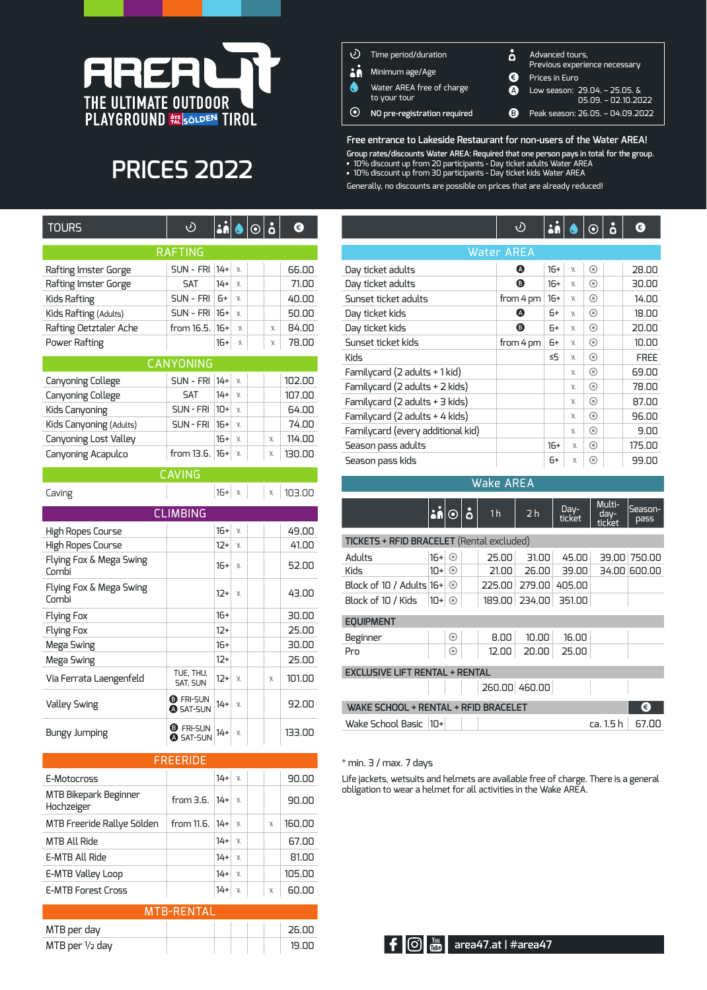

# **PRICES 2022**

| <b>TOURS</b>           | D                | $ \dot{\mathbf{a}} \bullet \odot \mathbf{\dot{a}}$ |              |        | ➊      |
|------------------------|------------------|----------------------------------------------------|--------------|--------|--------|
|                        | <b>RAFTING</b>   |                                                    |              |        |        |
| Rafting Imster Gorge   | SUN - FRI 14+    |                                                    | $\mathsf{X}$ |        | 66.00  |
| Rafting Imster Gorge   | <b>SAT</b>       | $14+$                                              | $\mathsf{X}$ |        | 71.00  |
| Kids Rafting           | SUN - FRI        | $6+$                                               | $\mathbf x$  |        | 40.00  |
| Kids Rafting (Adults)  | $SUN - FRI$ 16+  |                                                    | $\mathbf{x}$ |        | 50.00  |
| Rafting Oetztaler Ache | from $16.5.16+$  |                                                    | $\chi$       | X      | 84.00  |
| Power Rafting          |                  | $16+$                                              | $\chi$       | $\chi$ | 78.00  |
|                        | <b>CANYONING</b> |                                                    |              |        |        |
| Canyoning College      | SUN - FRI   14+  |                                                    | $\chi$       |        | 102.00 |
| Capuoping Collogo      | <b>CAT</b>       | $1/\mu$                                            | $\checkmark$ |        | חח דחו |

| Cariyoriirig Cottege    | <b>DUIN - FRILI4+LA</b>   |       |        |   | IUZ.UU |
|-------------------------|---------------------------|-------|--------|---|--------|
| Canyoning College       | <b>SAT</b>                | $14+$ | $\chi$ |   | 107.00 |
| Kids Canyoning          | $SUN - FRI$ 10+ $x$       |       |        |   | 64.00  |
| Kids Canyoning (Adults) | $SUN - FRI$ 16+ $x$       |       |        |   | 74.00  |
| Canyoning Lost Valley   |                           | $16+$ | $\chi$ | X | 114.00 |
| Canyoning Acapulco      | from 13.6. $ 16+  \times$ |       |        |   | 130.00 |

| <b>CAVING</b>                    |                                     |          |        |  |   |        |  |  |  |  |
|----------------------------------|-------------------------------------|----------|--------|--|---|--------|--|--|--|--|
| Caving                           |                                     | $16 + x$ |        |  | X | 103.00 |  |  |  |  |
| <b>CLIMBING</b>                  |                                     |          |        |  |   |        |  |  |  |  |
| High Ropes Course                |                                     | $16+$    | $\chi$ |  |   | 49.00  |  |  |  |  |
| High Ropes Course                |                                     | $12+$    | X      |  |   | 41.00  |  |  |  |  |
| Flying Fox & Mega Swing<br>Combi |                                     | 16+      | $\chi$ |  |   | 52.00  |  |  |  |  |
| Flying Fox & Mega Swing<br>Combi |                                     | $12+$    | $\chi$ |  |   | 43.00  |  |  |  |  |
| <b>Flying Fox</b>                |                                     | $16+$    |        |  |   | 30.00  |  |  |  |  |
| <b>Flying Fox</b>                |                                     | $12+$    |        |  |   | 25.00  |  |  |  |  |
| Mega Swing                       |                                     | $16+$    |        |  |   | 30.00  |  |  |  |  |
| Mega Swing                       |                                     | $12+$    |        |  |   | 25.00  |  |  |  |  |
| Via Ferrata Laengenfeld          | TUE, THU,<br>SAT, SUN               | $12+$    | $\chi$ |  | X | 101.00 |  |  |  |  |
| <b>Valley Swing</b>              | <b>B</b> FRI-SUN<br><b>@SAT-SUN</b> | $14+$    | $\chi$ |  |   | 92.00  |  |  |  |  |
| Bungy Jumping                    | <b>B</b> FRI-SUN<br>SAT-SUN         | $14 +$   | X      |  |   | 133.00 |  |  |  |  |

### FREERIDE

| E-Motocross                         |                      | $14+$ | $\chi$       |   | 90.00  |
|-------------------------------------|----------------------|-------|--------------|---|--------|
| MTB Bikepark Beginner<br>Hochzeiger | from $3.6$ . $ 14+ $ |       | $\mathbf x$  |   | 90.00  |
| MTB Freeride Rallye Sölden          | from 11.6.   14+     |       | $\chi$       | χ | 160.00 |
| <b>MTB All Ride</b>                 |                      | $14+$ | $\chi$       |   | 67.00  |
| E-MTB All Ride                      |                      | $14+$ | $\mathbf x$  |   | 81.00  |
| E-MTB Valley Loop                   |                      | $14+$ | $\mathbf x$  |   | 105.00 |
| <b>E-MTB Forest Cross</b>           |                      | $14+$ | $\mathsf{X}$ | χ | 60.00  |

| <b>MTB-RENTAL</b>         |  |         |  |  |  |  |  |
|---------------------------|--|---------|--|--|--|--|--|
| MTB per day               |  | ่ วร กก |  |  |  |  |  |
| MTB per $\frac{1}{2}$ day |  | 19 NN   |  |  |  |  |  |

| O <br>RĂ | Time period/duration<br>Minimum age/Age   | Ä       | Advanced tours,<br>Previous experience necessary                           |
|----------|-------------------------------------------|---------|----------------------------------------------------------------------------|
| Q        | Water AREA free of charge<br>to your tour | €<br>A) | Prices in Euro<br>Low season: $29.04. - 25.05.$ &<br>$05.09. - 02.10.2022$ |
| $\odot$  | NO pre-registration required              | B)      | Peak season: 26.05. - 04.09.2022                                           |

**Free entrance to Lakeside Restaurant for non-users of the Water AREA! Group rates/discounts Water AREA: Required that one person pays in total for the group**. 10% discount up from 20 participants - Day ticket adults Water AREA

10% discount up from 30 participants - Day ticket kids Water AREA

Generally, no discounts are possible on prices that are already reduced!

|                                   | ঔ                 |       |              | $\frac{1}{2}$ $\circ$ $\frac{1}{2}$ | ◑           |
|-----------------------------------|-------------------|-------|--------------|-------------------------------------|-------------|
|                                   | <b>Water AREA</b> |       |              |                                     |             |
| Day ticket adults                 | Q                 | $16+$ | $\chi$       | ⊙                                   | 28.00       |
| Day ticket adults                 | ُ⊕                | $16+$ | $\chi$       | ◉                                   | 30.00       |
| Sunset ticket adults              | from 4 pm         | $16+$ | $\chi$       | ◉                                   | 14.00       |
| Day ticket kids                   | ø                 | $6+$  | $\mathbf{X}$ | ◉                                   | 18.00       |
| Day ticket kids                   | ❸                 | $6+$  | $\chi$       | ◉                                   | 20.00       |
| Sunset ticket kids                | from 4 pm         | 6+    | $\chi$       | ◉                                   | 10.00       |
| Kids                              |                   | ≤5    | $\chi$       | ◉                                   | <b>FREE</b> |
| Familycard (2 adults + 1 kid)     |                   |       | X            | ◉                                   | 69.00       |
| Familycard (2 adults + 2 kids)    |                   |       | $\chi$       | ◉                                   | 78.00       |
| Familycard (2 adults + 3 kids)    |                   |       | X            | ◉                                   | 87.00       |
| Familycard (2 adults + 4 kids)    |                   |       | X            | ◉                                   | 96.00       |
| Familycard (every additional kid) |                   |       | X            | ◉                                   | 9.00        |
| Season pass adults                |                   | $16+$ | $\chi$       | ⊙                                   | 175.00      |
| Season pass kids                  |                   | 6+    | $\chi$       | ⊙                                   | 99.00       |

#### Wake AREA

|                                                  | <u>silo</u> |         | å | 1 <sub>h</sub> | 2 <sub>h</sub> | Day-<br>ticket | Multi-<br>$day-$<br>ticket | Season-<br>pass |  |  |  |
|--------------------------------------------------|-------------|---------|---|----------------|----------------|----------------|----------------------------|-----------------|--|--|--|
| <b>TICKETS + RFID BRACELET</b> (Rental excluded) |             |         |   |                |                |                |                            |                 |  |  |  |
| Adults                                           | $16+$       | $\odot$ |   | 25.00          | 31.00          | 45.00          | 39.00                      | 750.00          |  |  |  |
| <b>Kids</b>                                      | $10+$       | $\odot$ |   | 21.00          | 26.00          | 39.00          | 34.00                      | 600.00          |  |  |  |
| Block of 10 / Adults 16+                         |             | $\odot$ |   | 225.00         | 279.00         | 405.00         |                            |                 |  |  |  |
| Block of 10 / Kids                               | $10+$       | $\odot$ |   | 189.00         | 234.00         | 351.00         |                            |                 |  |  |  |
| <b>EOUIPMENT</b>                                 |             |         |   |                |                |                |                            |                 |  |  |  |
| Beginner                                         |             | ◉       |   | 8.00           | 10.00          | 16.00          |                            |                 |  |  |  |
| Pro                                              |             | ◉       |   | 12.00          | 20.00          | 25.00          |                            |                 |  |  |  |
| <b>EXCLUSIVE LIFT RENTAL + RENTAL</b>            |             |         |   |                |                |                |                            |                 |  |  |  |
|                                                  |             |         |   |                | 260.00 460.00  |                |                            |                 |  |  |  |
| <b>WAKE SCHOOL + RENTAL + RFID BRACELET</b>      |             |         |   |                |                |                |                            | €               |  |  |  |
| Wake School Basic                                | $10+$       |         |   |                |                |                | ca. 1.5 h                  | 67.00           |  |  |  |

#### $*$  min. 3 / max. 7 days

Life jackets, wetsuits and helmets are available free of charge. There is a general obligation to wear a helmet for all activities in the Wake AREA.